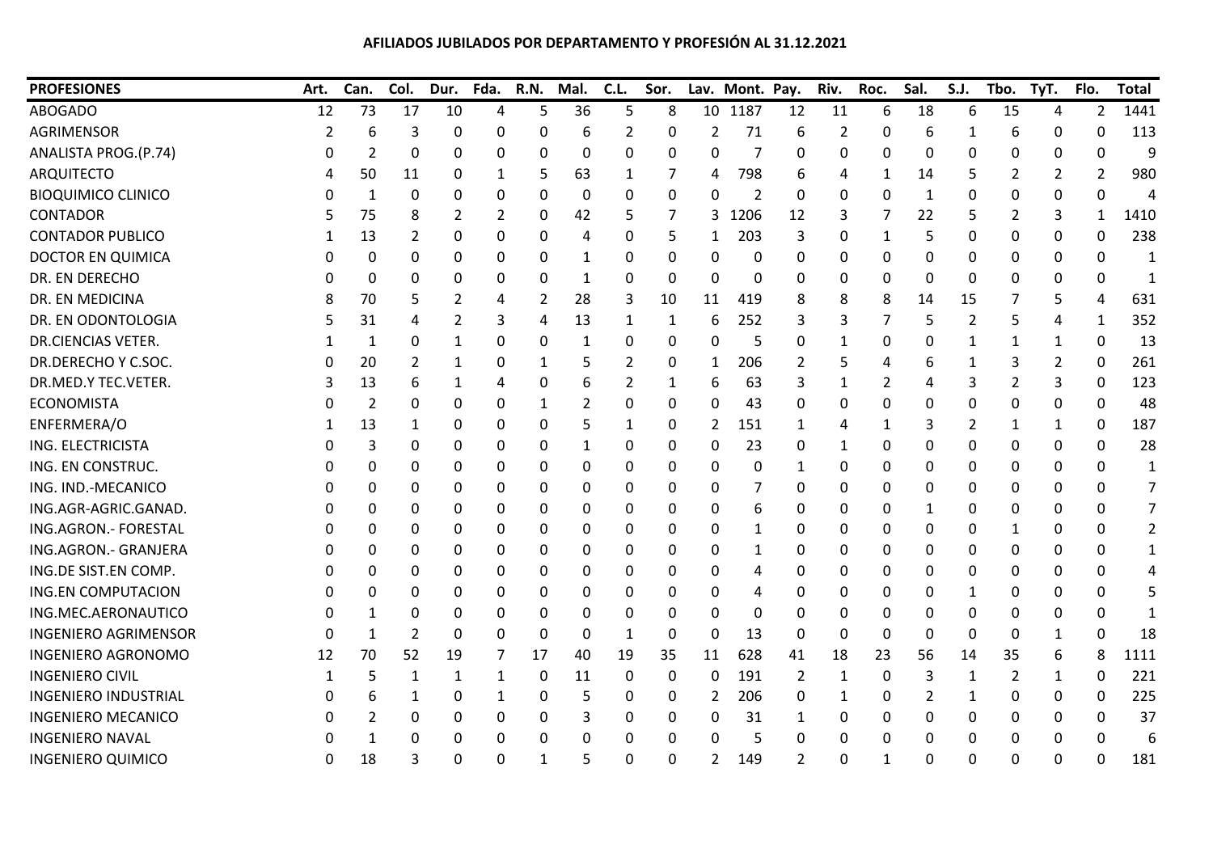## **AFILIADOS JUBILADOS POR DEPARTAMENTO Y PROFESIÓN AL 31.12.2021**

| <b>PROFESIONES</b>          | Art.     | Can. | Col. | Dur. | Fda. | R.N.             | Mal.         | C.L.           | Sor. |                 | Lav. Mont. Pay.  |                | Riv.         | Roc. | Sal.     | S.J. | Tbo.     | TyT.           | Flo.           | <b>Total</b> |
|-----------------------------|----------|------|------|------|------|------------------|--------------|----------------|------|-----------------|------------------|----------------|--------------|------|----------|------|----------|----------------|----------------|--------------|
| <b>ABOGADO</b>              | 12       | 73   | 17   | 10   | 4    | 5                | 36           | 5              | 8    | 10 <sup>°</sup> | 1187             | 12             | 11           | 6    | 18       | 6    | 15       | 4              | $\overline{2}$ | 1441         |
| <b>AGRIMENSOR</b>           | 2        | 6    | 3    | 0    | 0    | 0                | 6            | $\overline{2}$ | 0    | $\overline{2}$  | 71               | 6              | 2            | 0    | 6        | 1    | 6        | 0              | 0              | 113          |
| ANALISTA PROG.(P.74)        | 0        | 2    | 0    | 0    | 0    | 0                | 0            | 0              | 0    | 0               | 7                | 0              | 0            | 0    | 0        | 0    | 0        | 0              | 0              | q            |
| <b>ARQUITECTO</b>           |          | 50   | 11   | 0    | 1    | 5                | 63           | 1              | 7    | 4               | 798              | 6              | 4            | 1    | 14       | 5    | 2        | 2              | 2              | 980          |
| <b>BIOQUIMICO CLINICO</b>   | $\Omega$ | 1    | 0    | 0    | 0    | 0                | 0            | 0              | 0    | 0               | 2                | 0              | 0            | 0    | 1        | 0    | 0        | 0              | 0              | 4            |
| <b>CONTADOR</b>             |          | 75   | 8    | 2    | 2    | 0                | 42           | 5              | 7    | 3               | 1206             | 12             | 3            | 7    | 22       | 5    | 2        | 3              | 1              | 1410         |
| <b>CONTADOR PUBLICO</b>     |          | 13   | 2    | 0    | 0    | 0                | 4            | 0              | 5    | 1               | 203              | 3              | 0            | 1    | 5        | 0    | 0        | 0              | 0              | 238          |
| <b>DOCTOR EN QUIMICA</b>    | 0        | 0    | 0    | 0    | 0    | 0                | 1            | 0              | 0    | 0               | 0                | 0              | 0            | 0    | 0        | 0    | 0        | 0              | 0              | -1           |
| DR. EN DERECHO              |          | 0    | 0    | 0    | 0    | 0                | 1            | 0              | 0    | 0               | 0                | 0              | 0            | 0    | 0        | 0    | 0        | 0              | 0              |              |
| DR. EN MEDICINA             |          | 70   | 5    | 2    | 4    | 2                | 28           | 3              | 10   | 11              | 419              | 8              | 8            | 8    | 14       | 15   |          | 5              | 4              | 631          |
| DR. EN ODONTOLOGIA          |          | 31   | 4    | 2    | 3    | 4                | 13           | 1              | 1    | 6               | 252              | 3              | 3            |      | 5        | 2    | 5        | 4              | 1              | 352          |
| <b>DR.CIENCIAS VETER.</b>   |          | 1    | 0    | 1    | 0    | 0                | $\mathbf{1}$ | 0              | 0    | 0               | 5                | $\Omega$       | 1            | 0    | 0        | 1    | 1        | $\mathbf{1}$   | 0              | 13           |
| DR.DERECHO Y C.SOC.         |          | 20   | 2    | 1    | 0    | 1                | 5            | 2              | 0    | 1               | 206              | 2              | 5            |      | 6        | 1    | 3        | $\overline{2}$ | 0              | 261          |
| DR.MED.Y TEC.VETER.         |          | 13   | 6    | 1    | 4    | 0                | 6            | 2              | 1    | 6               | 63               | 3              | 1            | 2    | 4        | 3    | 2        | 3              | 0              | 123          |
| <b>ECONOMISTA</b>           | $\cup$   | 2    | 0    | 0    | 0    | 1                | 2            | 0              | 0    | 0               | 43               | 0              | 0            | 0    | 0        | 0    | 0        | 0              | 0              | 48           |
| ENFERMERA/O                 |          | 13   | 1    | 0    | 0    | 0                | 5            | 1              | 0    | 2               | 151              | 1              | 4            | 1    | 3        | 2    | 1        | 1              | 0              | 187          |
| ING. ELECTRICISTA           |          | 3    | 0    | 0    | 0    | 0                | 1            | 0              | 0    | 0               | 23               | 0              | 1            | 0    | 0        | 0    | 0        | 0              | 0              | 28           |
| ING. EN CONSTRUC.           |          | 0    | 0    | 0    | 0    | 0                | 0            | $\Omega$       | 0    | 0               | 0                | 1              | 0            | 0    | $\Omega$ | 0    | 0        | 0              | 0              | 1            |
| ING. IND.-MECANICO          |          | 0    | 0    | 0    | 0    | 0                | 0            | 0              | 0    | 0               | 7                | 0              | 0            | 0    | 0        | 0    | 0        | 0              | 0              |              |
| ING.AGR-AGRIC.GANAD.        |          | 0    | 0    | 0    | 0    | 0                | 0            | 0              | 0    | 0               | 6                | 0              | 0            | 0    | 1        | 0    | 0        | 0              | 0              |              |
| ING.AGRON. - FORESTAL       |          | 0    | 0    | 0    | 0    | 0                | 0            | 0              | 0    | 0               | 1                | 0              | 0            | 0    | 0        | 0    | 1        | 0              | 0              |              |
| ING.AGRON.- GRANJERA        |          | 0    | 0    | 0    | 0    | 0                | 0            | 0              | 0    | 0               | 1                | 0              | 0            | 0    | 0        | 0    | 0        | 0              | 0              | 1            |
| ING.DE SIST.EN COMP.        | $\Omega$ | 0    | 0    | 0    | 0    | 0                | 0            | 0              | 0    | 0               | 4                | 0              | 0            | 0    | 0        | 0    | 0        | 0              | 0              |              |
| <b>ING.EN COMPUTACION</b>   | 0        | 0    | 0    | 0    | 0    | 0                | 0            | 0              | 0    | 0               | 4                | 0              | 0            | 0    | 0        | 1    | 0        | 0              | 0              |              |
| ING.MEC.AERONAUTICO         |          | 1    | 0    | 0    | 0    | 0                | 0            | 0              | 0    | 0               | $\boldsymbol{0}$ | 0              | 0            | 0    | 0        | 0    | 0        | 0              | 0              |              |
| <b>INGENIERO AGRIMENSOR</b> | 0        | 1    | 2    | 0    | 0    | 0                | 0            | 1              | 0    | 0               | 13               | 0              | 0            | 0    | 0        | 0    | 0        | 1              | 0              | 18           |
| <b>INGENIERO AGRONOMO</b>   | 12       | 70   | 52   | 19   | 7    | 17               | 40           | 19             | 35   | 11              | 628              | 41             | 18           | 23   | 56       | 14   | 35       | 6              | 8              | 1111         |
| <b>INGENIERO CIVIL</b>      |          | 5    | 1    | 1    | 1    | $\boldsymbol{0}$ | 11           | $\mathbf 0$    | 0    | 0               | 191              | 2              | $\mathbf{1}$ | 0    | 3        | 1    | 2        | $\mathbf{1}$   | 0              | 221          |
| <b>INGENIERO INDUSTRIAL</b> |          | 6    |      | 0    | 1    | 0                | 5            | 0              | 0    | 2               | 206              | 0              | 1            | 0    | 2        | 1    | 0        | 0              | 0              | 225          |
| <b>INGENIERO MECANICO</b>   |          | 2    | 0    | 0    | 0    | 0                | 3            | 0              | 0    | 0               | 31               | 1              | 0            | 0    | 0        | 0    | 0        | 0              | 0              | 37           |
| <b>INGENIERO NAVAL</b>      | $\Omega$ | 1    | 0    | 0    | 0    | 0                | 0            | 0              | 0    | 0               | 5                | 0              | 0            | 0    | 0        | 0    | 0        | 0              | 0              |              |
| <b>INGENIERO QUIMICO</b>    | 0        | 18   | 3    | 0    | 0    | 1                | 5            | 0              | 0    | $\overline{2}$  | 149              | $\overline{2}$ | 0            | 1    | 0        | 0    | $\Omega$ | $\Omega$       | 0              | 181          |